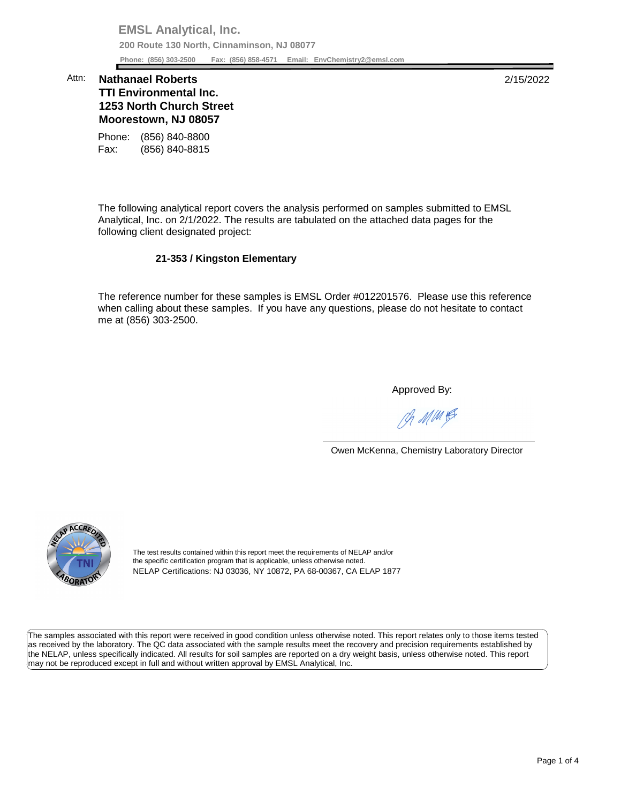**EMSL Analytical, Inc. 200 Route 130 North, Cinnaminson, NJ 08077 Phone: (856) 303-2500 Fax: (856) 858-4571 Email: [EnvChemistry2@emsl.com](mailto:EnvChemistry2@emsl.com)**  Phone: (856) 303-2500

## **Moorestown, NJ 08057**  Attn: **Nathanael Roberts** 2/15/2022 **TTI Environmental Inc. 1253 North Church Street**

Phone: (856) 840-8800 Fax: (856) 840-8815

 The following analytical report covers the analysis performed on samples submitted to EMSL Analytical, Inc. on 2/1/2022. The results are tabulated on the attached data pages for the following client designated project:

## **21-353 / Kingston Elementary**

 The reference number for these samples is EMSL Order #012201576. Please use this reference when calling about these samples. If you have any questions, please do not hesitate to contact me at (856) 303-2500.

Approved By:

Ph MMH

Owen McKenna, Chemistry Laboratory Director



The test results contained within this report meet the requirements of NELAP and/or the specific certification program that is applicable, unless otherwise noted. NELAP Certifications: NJ 03036, NY 10872, PA 68-00367, CA ELAP 1877

 The samples associated with this report were received in good condition unless otherwise noted. This report relates only to those items tested as received by the laboratory. The QC data associated with the sample results meet the recovery and precision requirements established by the NELAP, unless specifically indicated. All results for soil samples are reported on a dry weight basis, unless otherwise noted. This report may not be reproduced except in full and without written approval by EMSL Analytical, Inc.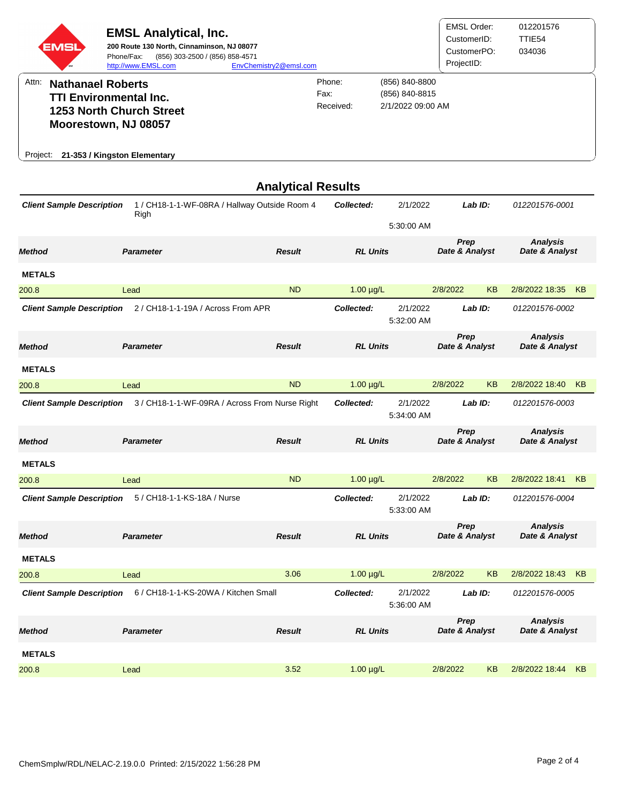| EMSI                                                                                                                                          | <b>EMSL Analytical, Inc.</b><br>200 Route 130 North, Cinnaminson, NJ 08077<br>Phone/Fax:<br>(856) 303-2500 / (856) 858-4571<br>http://www.EMSL.com | EnvChemistry2@emsl.com    |                     |                                                       | <b>EMSL Order:</b><br>CustomerID:<br>CustomerPO:<br>ProjectID: | 012201576<br>TTIE54<br>034036     |  |
|-----------------------------------------------------------------------------------------------------------------------------------------------|----------------------------------------------------------------------------------------------------------------------------------------------------|---------------------------|---------------------|-------------------------------------------------------|----------------------------------------------------------------|-----------------------------------|--|
| Attn:<br>Project:                                                                                                                             | <b>Nathanael Roberts</b><br><b>TTI Environmental Inc.</b><br>1253 North Church Street<br>Moorestown, NJ 08057<br>21-353 / Kingston Elementary      | Fax:                      | Phone:<br>Received: | (856) 840-8800<br>(856) 840-8815<br>2/1/2022 09:00 AM |                                                                |                                   |  |
|                                                                                                                                               |                                                                                                                                                    | <b>Analytical Results</b> |                     |                                                       |                                                                |                                   |  |
| <b>Client Sample Description</b>                                                                                                              | 1 / CH18-1-1-WF-08RA / Hallway Outside Room 4<br>Righ                                                                                              |                           | Collected:          | 2/1/2022<br>5:30:00 AM                                | Lab ID:                                                        | 012201576-0001                    |  |
| <b>Method</b>                                                                                                                                 | <b>Parameter</b>                                                                                                                                   | <b>Result</b>             | <b>RL Units</b>     |                                                       | Prep<br>Date & Analyst                                         | <b>Analysis</b><br>Date & Analyst |  |
| <b>METALS</b>                                                                                                                                 |                                                                                                                                                    |                           |                     |                                                       |                                                                |                                   |  |
| 200.8                                                                                                                                         | Lead                                                                                                                                               | <b>ND</b>                 | $1.00 \mu g/L$      |                                                       | 2/8/2022<br>KB                                                 | 2/8/2022 18:35<br>KB              |  |
| <b>Client Sample Description</b>                                                                                                              | 2 / CH18-1-1-19A / Across From APR                                                                                                                 |                           | Collected:          | 2/1/2022<br>5:32:00 AM                                | Lab ID:                                                        | 012201576-0002                    |  |
| <b>Method</b>                                                                                                                                 | <b>Parameter</b>                                                                                                                                   | <b>Result</b>             | <b>RL Units</b>     |                                                       | Prep<br>Date & Analyst                                         | <b>Analysis</b><br>Date & Analyst |  |
| <b>METALS</b>                                                                                                                                 |                                                                                                                                                    |                           |                     |                                                       |                                                                |                                   |  |
| 200.8                                                                                                                                         | Lead                                                                                                                                               | <b>ND</b>                 | $1.00 \mu g/L$      |                                                       | <b>KB</b><br>2/8/2022                                          | 2/8/2022 18:40<br><b>KB</b>       |  |
| <b>Client Sample Description</b>                                                                                                              | 3 / CH18-1-1-WF-09RA / Across From Nurse Right                                                                                                     |                           | Collected:          | 2/1/2022<br>5:34:00 AM                                | Lab ID:                                                        | 012201576-0003                    |  |
| <b>Method</b>                                                                                                                                 | <b>Parameter</b>                                                                                                                                   | <b>Result</b>             | <b>RL Units</b>     |                                                       | Prep<br>Date & Analyst                                         | <b>Analysis</b><br>Date & Analyst |  |
| <b>METALS</b>                                                                                                                                 |                                                                                                                                                    |                           |                     |                                                       |                                                                |                                   |  |
| 200.8                                                                                                                                         | Lead                                                                                                                                               | <b>ND</b>                 | $1.00 \mu g/L$      |                                                       | 2/8/2022<br>KB                                                 | 2/8/2022 18:41<br>KB              |  |
| <b>Client Sample Description</b>                                                                                                              | 5 / CH18-1-1-KS-18A / Nurse                                                                                                                        |                           | Collected:          | 2/1/2022<br>5:33:00 AM                                | Lab ID:                                                        | 012201576-0004                    |  |
| Method                                                                                                                                        | <b>Parameter</b>                                                                                                                                   | <b>Result</b>             | <b>RL Units</b>     |                                                       | Prep<br>Date & Analyst                                         | <b>Analysis</b><br>Date & Analyst |  |
| <b>METALS</b>                                                                                                                                 |                                                                                                                                                    |                           |                     |                                                       |                                                                |                                   |  |
| 200.8                                                                                                                                         | Lead                                                                                                                                               | 3.06                      | $1.00 \mu g/L$      |                                                       | 2/8/2022<br>KB                                                 | 2/8/2022 18:43<br>KB              |  |
| <b>Client Sample Description</b><br>6 / CH18-1-1-KS-20WA / Kitchen Small<br>Collected:<br>2/1/2022<br>Lab ID:<br>012201576-0005<br>5:36:00 AM |                                                                                                                                                    |                           |                     |                                                       |                                                                |                                   |  |
| Method                                                                                                                                        | <b>Parameter</b>                                                                                                                                   | <b>Result</b>             | <b>RL Units</b>     |                                                       | <b>Prep</b><br>Date & Analyst                                  | <b>Analysis</b><br>Date & Analyst |  |
| <b>METALS</b>                                                                                                                                 |                                                                                                                                                    |                           |                     |                                                       |                                                                |                                   |  |
| 200.8                                                                                                                                         | Lead                                                                                                                                               | 3.52                      | $1.00 \mu g/L$      |                                                       | 2/8/2022<br><b>KB</b>                                          | 2/8/2022 18:44<br>KB              |  |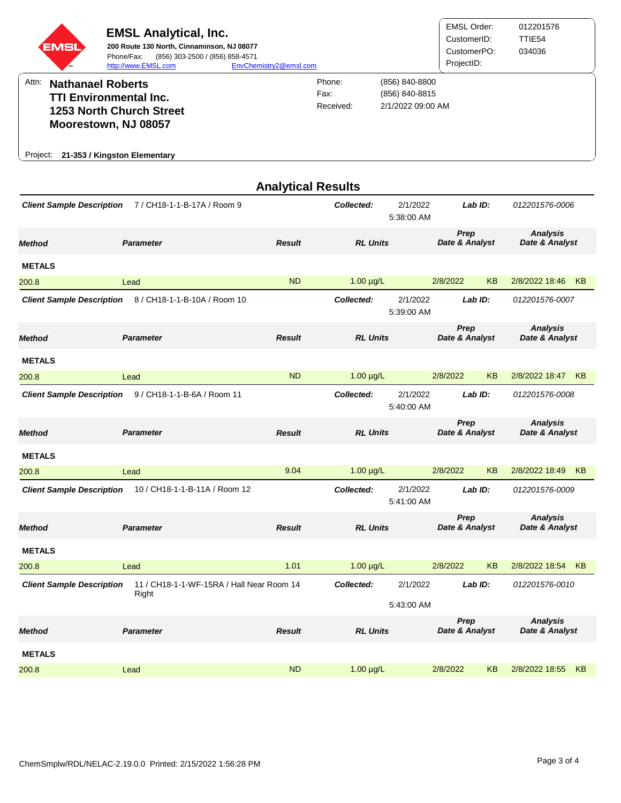| EMSL)                                                              | <b>EMSL Analytical, Inc.</b><br>200 Route 130 North, Cinnaminson, NJ 08077<br>(856) 303-2500 / (856) 858-4571<br>Phone/Fax:<br>http://www.EMSL.com | EnvChemistry2@emsl.com |                             |                                                       | <b>EMSL Order:</b><br>CustomerID:<br>CustomerPO:<br>ProjectID: | 012201576<br>TTIE54<br>034036 |
|--------------------------------------------------------------------|----------------------------------------------------------------------------------------------------------------------------------------------------|------------------------|-----------------------------|-------------------------------------------------------|----------------------------------------------------------------|-------------------------------|
| Attn:<br><b>Nathanael Roberts</b><br><b>TTI Environmental Inc.</b> |                                                                                                                                                    |                        | Phone:<br>Fax:<br>Received: | (856) 840-8800<br>(856) 840-8815<br>2/1/2022 09:00 AM |                                                                |                               |
|                                                                    | <b>1253 North Church Street</b><br>Moorestown, NJ 08057                                                                                            |                        |                             |                                                       |                                                                |                               |
| Project:                                                           | 21-353 / Kingston Elementary                                                                                                                       |                        |                             |                                                       |                                                                |                               |

| <b>Analytical Results</b>        |                                           |               |                 |                        |                        |           |                                   |           |
|----------------------------------|-------------------------------------------|---------------|-----------------|------------------------|------------------------|-----------|-----------------------------------|-----------|
| <b>Client Sample Description</b> | 7 / CH18-1-1-B-17A / Room 9               |               | Collected:      | 2/1/2022<br>5:38:00 AM | Lab ID:                |           | 012201576-0006                    |           |
| Method                           | <b>Parameter</b>                          | <b>Result</b> | <b>RL Units</b> |                        | Prep<br>Date & Analyst |           | <b>Analysis</b><br>Date & Analyst |           |
| <b>METALS</b>                    |                                           |               |                 |                        |                        |           |                                   |           |
| 200.8                            | Lead                                      | <b>ND</b>     | $1.00 \mu g/L$  |                        | 2/8/2022               | <b>KB</b> | 2/8/2022 18:46                    | KB        |
| <b>Client Sample Description</b> | 8 / CH18-1-1-B-10A / Room 10              |               | Collected:      | 2/1/2022<br>5:39:00 AM | Lab ID:                |           | 012201576-0007                    |           |
| <b>Method</b>                    | <b>Parameter</b>                          | <b>Result</b> | <b>RL Units</b> |                        | Prep<br>Date & Analyst |           | <b>Analysis</b><br>Date & Analyst |           |
| <b>METALS</b>                    |                                           |               |                 |                        |                        |           |                                   |           |
| 200.8                            | Lead                                      | <b>ND</b>     | $1.00 \mu g/L$  |                        | 2/8/2022               | <b>KB</b> | 2/8/2022 18:47                    | KB        |
| <b>Client Sample Description</b> | 9 / CH18-1-1-B-6A / Room 11               |               | Collected:      | 2/1/2022<br>5:40:00 AM | Lab ID:                |           | 012201576-0008                    |           |
| Method                           | <b>Parameter</b>                          | <b>Result</b> | <b>RL Units</b> |                        | Prep<br>Date & Analyst |           | <b>Analysis</b><br>Date & Analyst |           |
| <b>METALS</b>                    |                                           |               |                 |                        |                        |           |                                   |           |
| 200.8                            | Lead                                      | 9.04          | $1.00 \mu g/L$  |                        | 2/8/2022               | <b>KB</b> | 2/8/2022 18:49                    | KB        |
| <b>Client Sample Description</b> | 10 / CH18-1-1-B-11A / Room 12             |               | Collected:      | 2/1/2022<br>5:41:00 AM | Lab ID:                |           | 012201576-0009                    |           |
| Method                           | <b>Parameter</b>                          | <b>Result</b> | <b>RL Units</b> |                        | Prep<br>Date & Analyst |           | <b>Analysis</b><br>Date & Analyst |           |
| <b>METALS</b>                    |                                           |               |                 |                        |                        |           |                                   |           |
| 200.8                            | Lead                                      | 1.01          | $1.00 \mu g/L$  |                        | 2/8/2022               | <b>KB</b> | 2/8/2022 18:54                    | <b>KB</b> |
| <b>Client Sample Description</b> | 11 / CH18-1-1-WF-15RA / Hall Near Room 14 |               | Collected:      | 2/1/2022               | $Lab$ $ID:$            |           | 012201576-0010                    |           |
|                                  | Right                                     |               |                 | 5:43:00 AM             |                        |           |                                   |           |
| <b>Method</b>                    | <b>Parameter</b>                          | <b>Result</b> | <b>RL Units</b> |                        | Prep<br>Date & Analyst |           | <b>Analysis</b><br>Date & Analyst |           |
| <b>METALS</b>                    |                                           |               |                 |                        |                        |           |                                   |           |
| 200.8                            | Lead                                      | <b>ND</b>     | $1.00 \mu g/L$  |                        | 2/8/2022               | KB        | 2/8/2022 18:55                    | <b>KB</b> |